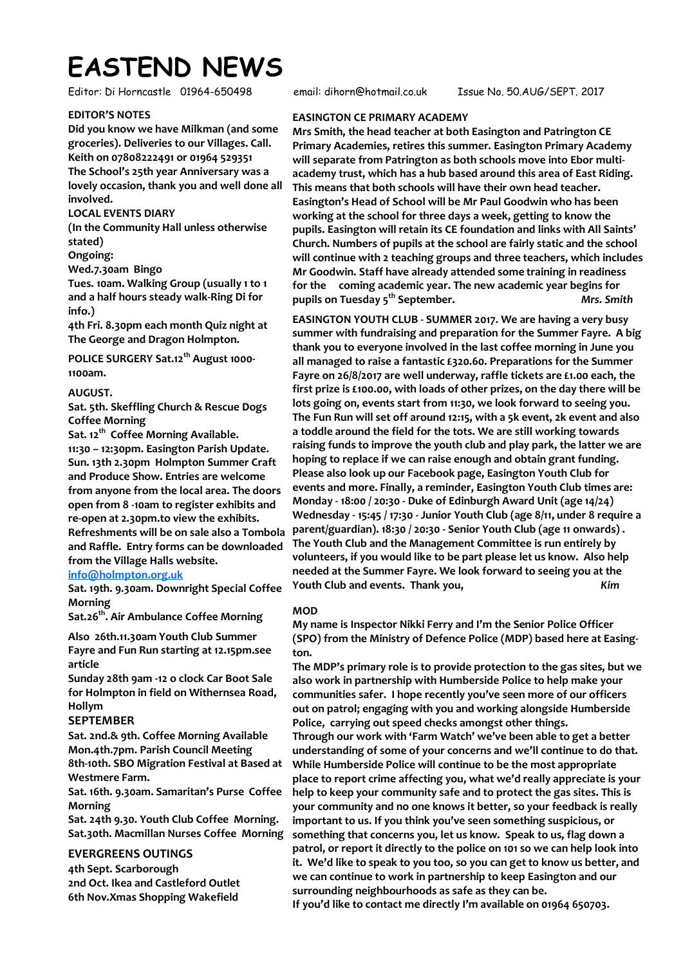# **EASTEND NEWS**

Editor: Di Horncastle 01964-650498 email: dihorn@hotmail.co.uk Issue No. 50.AUG/SEPT. 2017

# **EDITOR'S NOTES**

**Did you know we have Milkman (and some groceries). Deliveries to our Villages. Call. Keith on 07808222491 or 01964 529351 The School's 25th year Anniversary was a lovely occasion, thank you and well done all involved.** 

# **LOCAL EVENTS DIARY**

**(In the Community Hall unless otherwise stated)** 

**Ongoing:** 

**Wed.7.30am Bingo** 

**Tues. 10am. Walking Group (usually 1 to 1 and a half hours steady walk-Ring Di for info.)** 

**4th Fri. 8.30pm each month Quiz night at The George and Dragon Holmpton.** 

**POLICE SURGERY Sat.12th August 1000- 1100am.** 

# **AUGUST.**

**Sat. 5th. Skeffling Church & Rescue Dogs Coffee Morning** 

**Sat. 12th Coffee Morning Available. 11:30 – 12:30pm. Easington Parish Update. Sun. 13th 2.30pm Holmpton Summer Craft and Produce Show. Entries are welcome from anyone from the local area. The doors open from 8 -10am to register exhibits and re-open at 2.30pm.to view the exhibits. Refreshments will be on sale also a Tombola and Raffle. Entry forms can be downloaded from the Village Halls website.** 

# **[info@holmpton.org.uk](mailto:info@holmpton.org.uk)**

**Sat. 19th. 9.30am. Downright Special Coffee Morning** 

**Sat.26th. Air Ambulance Coffee Morning** 

**Also 26th.11.30am Youth Club Summer Fayre and Fun Run starting at 12.15pm.see article** 

**Sunday 28th 9am -12 o clock Car Boot Sale for Holmpton in field on Withernsea Road, Hollym** 

# **SEPTEMBER**

**Sat. 2nd.& 9th. Coffee Morning Available Mon.4th.7pm. Parish Council Meeting 8th-10th. SBO Migration Festival at Based at Westmere Farm.** 

**Sat. 16th. 9.30am. Samaritan's Purse Coffee Morning** 

**Sat. 24th 9.30. Youth Club Coffee Morning. Sat.30th. Macmillan Nurses Coffee Morning** 

# **EVERGREENS OUTINGS**

**4th Sept. Scarborough 2nd Oct. Ikea and Castleford Outlet 6th Nov.Xmas Shopping Wakefield**

# **EASINGTON CE PRIMARY ACADEMY**

**Mrs Smith, the head teacher at both Easington and Patrington CE Primary Academies, retires this summer. Easington Primary Academy will separate from Patrington as both schools move into Ebor multiacademy trust, which has a hub based around this area of East Riding. This means that both schools will have their own head teacher. Easington's Head of School will be Mr Paul Goodwin who has been working at the school for three days a week, getting to know the pupils. Easington will retain its CE foundation and links with All Saints' Church. Numbers of pupils at the school are fairly static and the school will continue with 2 teaching groups and three teachers, which includes Mr Goodwin. Staff have already attended some training in readiness for the coming academic year. The new academic year begins for pupils on Tuesday 5th September.** *Mrs. Smith*

**EASINGTON YOUTH CLUB - SUMMER 2017. We are having a very busy summer with fundraising and preparation for the Summer Fayre. A big thank you to everyone involved in the last coffee morning in June you all managed to raise a fantastic £320.60. Preparations for the Summer Fayre on 26/8/2017 are well underway, raffle tickets are £1.00 each, the first prize is £100.00, with loads of other prizes, on the day there will be lots going on, events start from 11:30, we look forward to seeing you. The Fun Run will set off around 12:15, with a 5k event, 2k event and also a toddle around the field for the tots. We are still working towards raising funds to improve the youth club and play park, the latter we are hoping to replace if we can raise enough and obtain grant funding. Please also look up our Facebook page, Easington Youth Club for events and more. Finally, a reminder, Easington Youth Club times are: Monday - 18:00 / 20:30 - Duke of Edinburgh Award Unit (age 14/24) Wednesday - 15:45 / 17:30 - Junior Youth Club (age 8/11, under 8 require a parent/guardian). 18:30 / 20:30 - Senior Youth Club (age 11 onwards) . The Youth Club and the Management Committee is run entirely by volunteers, if you would like to be part please let us know. Also help needed at the Summer Fayre. We look forward to seeing you at the Youth Club and events. Thank you,** *Kim*

# **MOD**

**My name is Inspector Nikki Ferry and I'm the Senior Police Officer (SPO) from the Ministry of Defence Police (MDP) based here at Easington.** 

**The MDP's primary role is to provide protection to the gas sites, but we also work in partnership with Humberside Police to help make your communities safer. I hope recently you've seen more of our officers out on patrol; engaging with you and working alongside Humberside Police, carrying out speed checks amongst other things. Through our work with 'Farm Watch' we've been able to get a better understanding of some of your concerns and we'll continue to do that. While Humberside Police will continue to be the most appropriate place to report crime affecting you, what we'd really appreciate is your help to keep your community safe and to protect the gas sites. This is your community and no one knows it better, so your feedback is really important to us. If you think you've seen something suspicious, or something that concerns you, let us know. Speak to us, flag down a patrol, or report it directly to the police on 101 so we can help look into it. We'd like to speak to you too, so you can get to know us better, and we can continue to work in partnership to keep Easington and our surrounding neighbourhoods as safe as they can be.** 

**If you'd like to contact me directly I'm available on 01964 650703.**